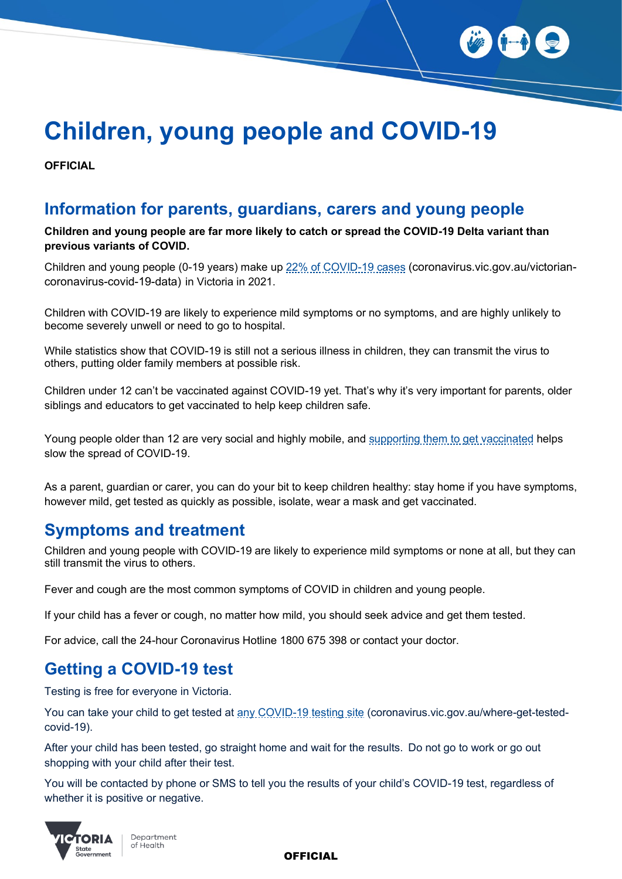

# **Children, young people and COVID-19**

**OFFICIAL**

#### **Information for parents, guardians, carers and young people**

**Children and young people are far more likely to catch or spread the COVID-19 Delta variant than previous variants of COVID.**

Children and young people (0-19 years) make up [22% of COVID-19 cases](https://www.coronavirus.vic.gov.au/victorian-coronavirus-covid-19-data) (coronavirus.vic.gov.au/victoriancoronavirus-covid-19-data) in Victoria in 2021.

Children with COVID-19 are likely to experience mild symptoms or no symptoms, and are highly unlikely to become severely unwell or need to go to hospital.

While statistics show that COVID-19 is still not a serious illness in children, they can transmit the virus to others, putting older family members at possible risk.

Children under 12 can't be vaccinated against COVID-19 yet. That's why it's very important for parents, older siblings and educators to get vaccinated to help keep children safe.

Young people older than 12 are very social and highly mobile, and [supporting them to get vaccinated](https://www.coronavirus.vic.gov.au/vaccination-information-children-and-teenagers) helps slow the spread of COVID-19.

As a parent, guardian or carer, you can do your bit to keep children healthy: stay home if you have symptoms, however mild, get tested as quickly as possible, isolate, wear a mask and get vaccinated.

#### **Symptoms and treatment**

Children and young people with COVID-19 are likely to experience mild symptoms or none at all, but they can still transmit the virus to others.

Fever and cough are the most common symptoms of COVID in children and young people.

If your child has a fever or cough, no matter how mild, you should seek advice and get them tested.

For advice, call the 24-hour Coronavirus Hotline 1800 675 398 or contact your doctor.

### **Getting a COVID-19 test**

Testing is free for everyone in Victoria.

You can take your child to get tested at [any COVID-19 testing site](https://www.coronavirus.vic.gov.au/where-get-tested-covid-19) (coronavirus.vic.gov.au/where-get-testedcovid-19).

After your child has been tested, go straight home and wait for the results.  Do not go to work or go out shopping with your child after their test.

You will be contacted by phone or SMS to tell you the results of your child's COVID-19 test, regardless of whether it is positive or negative.



**OFFICIAL**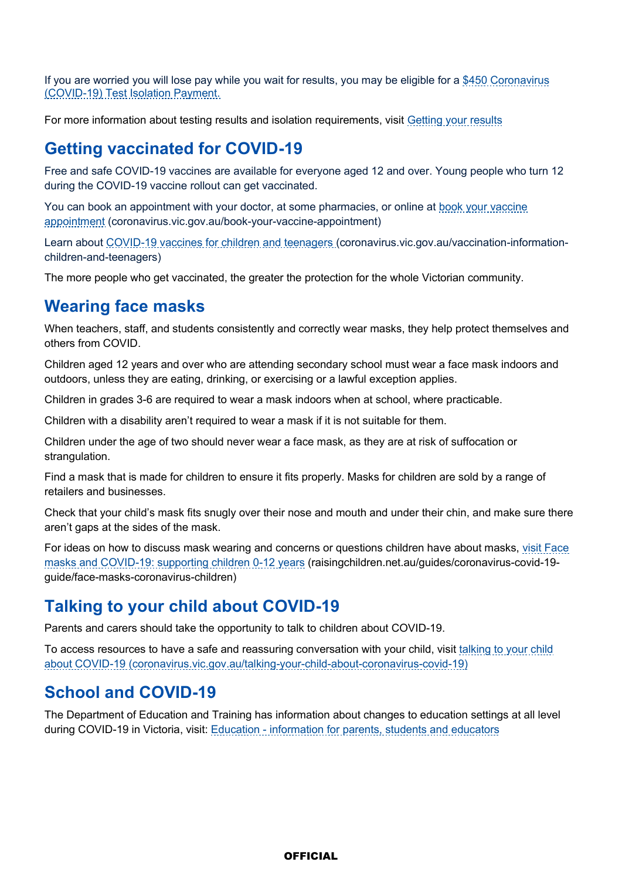If you are worried you will lose pay while you wait for results, you may be eligible for a \$450 Coronavirus [\(COVID-19\) Test Isolation Payment.](https://www.coronavirus.vic.gov.au/450-coronavirus-covid-19-test-isolation-payment)

For more information about testing results and isolation requirements, visit [Getting your results](https://www.coronavirus.vic.gov.au/getting-your-results-covid-19)

#### **Getting vaccinated for COVID-19**

Free and safe COVID-19 vaccines are available for everyone aged 12 and over. Young people who turn 12 during the COVID-19 vaccine rollout can get vaccinated.

You can book an appointment with your doctor, at some pharmacies, or online at [book your vaccine](https://www.coronavirus.vic.gov.au/book-your-vaccine-appointment)  [appointment](https://www.coronavirus.vic.gov.au/book-your-vaccine-appointment) (coronavirus.vic.gov.au/book-your-vaccine-appointment)

Learn about [COVID-19 vaccines for children and teenagers](https://www.coronavirus.vic.gov.au/vaccination-information-children-and-teenagers) (coronavirus.vic.gov.au/vaccination-informationchildren-and-teenagers)

The more people who get vaccinated, the greater the protection for the whole Victorian community.

#### **Wearing face masks**

When teachers, staff, and students consistently and correctly wear masks, they help protect themselves and others from COVID.

Children aged 12 years and over who are attending secondary school must wear a face mask indoors and outdoors, unless they are eating, drinking, or exercising or a lawful exception applies.

Children in grades 3-6 are required to wear a mask indoors when at school, where practicable.

Children with a disability aren't required to wear a mask if it is not suitable for them.

Children under the age of two should never wear a face mask, as they are at risk of suffocation or strangulation.

Find a mask that is made for children to ensure it fits properly. Masks for children are sold by a range of retailers and businesses.

Check that your child's mask fits snugly over their nose and mouth and under their chin, and make sure there aren't gaps at the sides of the mask.

For ideas on how to discuss mask wearing and concerns or questions children have about masks, [visit Face](https://raisingchildren.net.au/guides/coronavirus-covid-19-guide/face-masks-coronavirus-children)  [masks and COVID-19: supporting children 0-12 years](https://raisingchildren.net.au/guides/coronavirus-covid-19-guide/face-masks-coronavirus-children) (raisingchildren.net.au/guides/coronavirus-covid-19 guide/face-masks-coronavirus-children)

# **Talking to your child about COVID-19**

Parents and carers should take the opportunity to talk to children about COVID-19.

To access resources to have a safe and reassuring conversation with your child, visit [talking to your child](https://www.coronavirus.vic.gov.au/talking-your-child-about-coronavirus-covid-19)  [about COVID-19](https://www.coronavirus.vic.gov.au/talking-your-child-about-coronavirus-covid-19) (coronavirus.vic.gov.au/talking-your-child-about-coronavirus-covid-19)

### **School and COVID-19**

The Department of Education and Training has information about changes to education settings at all level during COVID-19 in Victoria, visit: Education - [information for parents, students and educators](https://www.coronavirus.vic.gov.au/education-information-about-coronavirus-covid-19)

#### **OFFICIAL**